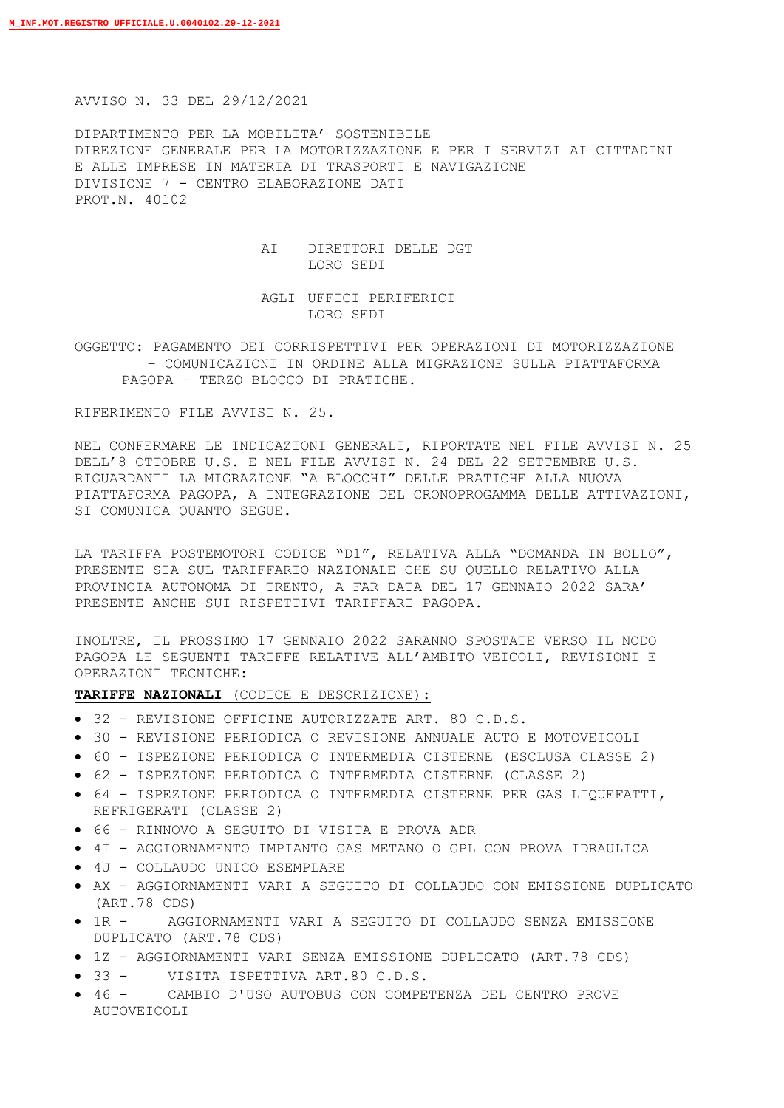AVVISO N. 33 DEL 29/12/2021

DIPARTIMENTO PER LA MOBILITA' SOSTENIBILE DIREZIONE GENERALE PER LA MOTORIZZAZIONE E PER I SERVIZI AI CITTADINI E ALLE IMPRESE IN MATERIA DI TRASPORTI E NAVIGAZIONE DIVISIONE 7 - CENTRO ELABORAZIONE DATI PROT.N. 40102

## AI DIRETTORI DELLE DGT LORO SEDI

## AGLI UFFICI PERIFERICI LORO SEDI

OGGETTO: PAGAMENTO DEI CORRISPETTIVI PER OPERAZIONI DI MOTORIZZAZIONE – COMUNICAZIONI IN ORDINE ALLA MIGRAZIONE SULLA PIATTAFORMA PAGOPA – TERZO BLOCCO DI PRATICHE.

RIFERIMENTO FILE AVVISI N. 25.

NEL CONFERMARE LE INDICAZIONI GENERALI, RIPORTATE NEL FILE AVVISI N. 25 DELL'8 OTTOBRE U.S. E NEL FILE AVVISI N. 24 DEL 22 SETTEMBRE U.S. RIGUARDANTI LA MIGRAZIONE "A BLOCCHI" DELLE PRATICHE ALLA NUOVA PIATTAFORMA PAGOPA, A INTEGRAZIONE DEL CRONOPROGAMMA DELLE ATTIVAZIONI, SI COMUNICA QUANTO SEGUE.

LA TARIFFA POSTEMOTORI CODICE "D1", RELATIVA ALLA "DOMANDA IN BOLLO", PRESENTE SIA SUL TARIFFARIO NAZIONALE CHE SU QUELLO RELATIVO ALLA PROVINCIA AUTONOMA DI TRENTO, A FAR DATA DEL 17 GENNAIO 2022 SARA' PRESENTE ANCHE SUI RISPETTIVI TARIFFARI PAGOPA.

INOLTRE, IL PROSSIMO 17 GENNAIO 2022 SARANNO SPOSTATE VERSO IL NODO PAGOPA LE SEGUENTI TARIFFE RELATIVE ALL'AMBITO VEICOLI, REVISIONI E OPERAZIONI TECNICHE:

**TARIFFE NAZIONALI** (CODICE E DESCRIZIONE):

- 32 REVISIONE OFFICINE AUTORIZZATE ART. 80 C.D.S.
- 30 REVISIONE PERIODICA O REVISIONE ANNUALE AUTO E MOTOVEICOLI
- 60 ISPEZIONE PERIODICA O INTERMEDIA CISTERNE (ESCLUSA CLASSE 2)
- 62 ISPEZIONE PERIODICA O INTERMEDIA CISTERNE (CLASSE 2)
- 64 ISPEZIONE PERIODICA O INTERMEDIA CISTERNE PER GAS LIQUEFATTI, REFRIGERATI (CLASSE 2)
- 66 RINNOVO A SEGUITO DI VISITA E PROVA ADR
- 4I AGGIORNAMENTO IMPIANTO GAS METANO O GPL CON PROVA IDRAULICA
- 4J COLLAUDO UNICO ESEMPLARE
- AX AGGIORNAMENTI VARI A SEGUITO DI COLLAUDO CON EMISSIONE DUPLICATO (ART.78 CDS)
- 1R AGGIORNAMENTI VARI A SEGUITO DI COLLAUDO SENZA EMISSIONE DUPLICATO (ART.78 CDS)
- 1Z AGGIORNAMENTI VARI SENZA EMISSIONE DUPLICATO (ART.78 CDS)
- 33 VISITA ISPETTIVA ART.80 C.D.S.
- 46 CAMBIO D'USO AUTOBUS CON COMPETENZA DEL CENTRO PROVE AUTOVEICOLI